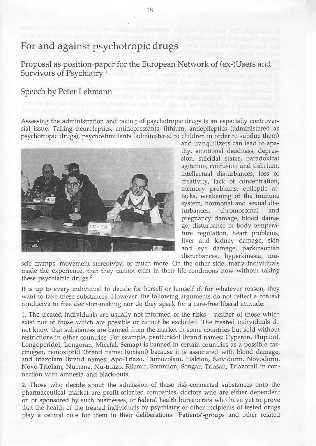## For and against psychotropic drugs

Proposal as position-paper for the European Network of (ex-)Users and Survivors of Psychiatry<sup>1</sup>

## Speech by Peter Lehmann

Assessing the administration and taking of psychotropic drugs is an especially controversial issue. Taking neuroleptics, antidepressants, lithium, antiepileptics (administered as psychotropic drugs), psychostimulants (administered to children in order to subdue them)



and tranquilizers can lead to apathy, emotional deadness, depression, suicidal states, paradoxical agitation, confusion and delirium, intellectual disturbances, loss of creativity, lack of concentration, memory problems, epileptic attacks, weakening of the immune system, hormonal and sexual disturbances, chromosomal and pregnancy damage, blood damage, disturbance of body temperature regulation, heart problems, liver and kidney damage, skin and eye damage, parkinsonian disturbances, hyperkinesia, mu-

scle cramps, movement stereotypy, or much more. On the other side, many individuals made the experience, that they cannot exist in their life-conditions now without taking these psychiatric drugs.'

It is up to every individual to decide for herself or himself if, for whatever reason, they want to take these substances. However, the following arguments do not reflect a context conducive to free decision-making nor do they speak for a care-free liberal attitude:

1. The treated individuals are usually not informed of the risks - neither of those which exist nor of those which are possible or cannot be excluded. The treated individuals do not know that substances are banned from the market in some countries but sold without restrictions in other countries. For example, penfluridol (brand names: Cyperon, Flupidol, Longoperidol, Longoran, Micefal, Semap) is banned in certain countries as a possible carcinogen, remoxiprid (brand name: Roxiam) because it is associated with blood damage, and triazolam (brand names: Apo-Triazo, Dumozolam, Halcion, Novidorm, Novodorm, Novo-Triolam, Nuctane, Nu-triazo, Rilamir, Somniton, Songar, Triasan, Triazoral) in connection with amnesia and black-outs.

2. Those who decide about the admission of these risk-connected substances onto the pharmaceutical market are profit-oriented companies, doctors who are either dependent on or sponsored by such businesses, or federal health bureaucrats who have yet to prove that the health of the treated individuals by psychiatry or other recipients of tested drugs play a central role for them in their deliberations. Patients'-groups and other related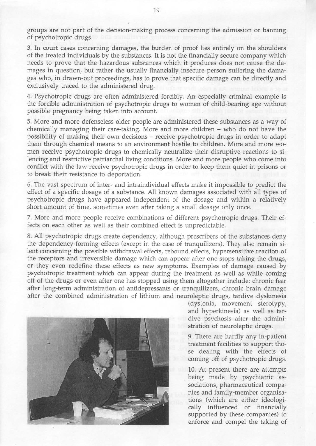groups are not part of the decision-mating process concerning the admission or banning of psychotropic drugs.

3. In court cases concerning damages, the burden of proof lies entirely on the shoulders of the treated individuals by the substances. It is not the financially secure company which needs to prove that the hazardous substances which it produces does not cause the damages in question, but rather the usually financially insecure person suffering the damages who, in drawn-out proceedings, has to prove that specific damage can be directly and exclusively traced to the administered drug.

4. Psychotropic drugs are often administered forcibly. An especially criminal example is the forcible administration of psychotropic drugs to women of child-bearing age without possible pregnancy being taken into account.

5. More and more defenseless older people are administered these substances as a way of chemically managing their care-taking. More and more children – who do not have the possibility of making their own decisions - receive psychotropic drugs in order to adapt them through chemical means to an environment hostile to children. More and more women receive psychotropic drugs to chemically neutralize their disruptive reactions to silencing and restrictive patriarchal living conditions. More and more people who come into conflict with the law receive psychotropic drugs in order to keep them quiet in prisons or to break their resistance to deportation.

6. The vast spectrum of inter- and intraindividual effects make it impossible to predict the effect of a specific dosage of a substance. All known damages associated with all types of psychotropic drugs have appeared independent of the dosage and within a relatively short amount of time, sometimes even after taking a small dosage only once.

7. More and more people receive combinations of different psychotropic drugs. Their effects on each other as well as their combined effect is unpredictable.

8. All psychotropic drugs create dependency, although prescribers of the substances deny the dependency-forming effects (except in the case of tranquilizers). They also remain silent concerning the possible withdrawal effects, rebound effects, hypersensitive reaction of the receptors and irreversible damage which can appear after one stops taking the drugs, or they even redefine these effects as new symptoms. Examples of damage caused by psychotropic treatment which can appear during the treatment as well as while coming off of the drugs or even after one has stopped using them altogether include: chronic fear after long-term administration of antidepressants or tranquilizers, chronic brain damage after the combined administration of lithium and neuroleptic drugs, tardive dyskinesia



(dystonia, movement sterotypy, and hyperkinesia) as well as tardive psychosis after the administration of neuroleptic drugs.

9. There are hardly any in-patient treatment facilities to support those dealing with the effects of coming off of psychotropic drugs.

10. At present there are attempts being made by psychiatric associations, pharmaceutical companies and family-member organisations (which are either ideologically influenced or financially supported by these companies) to enforce and compel the taking of